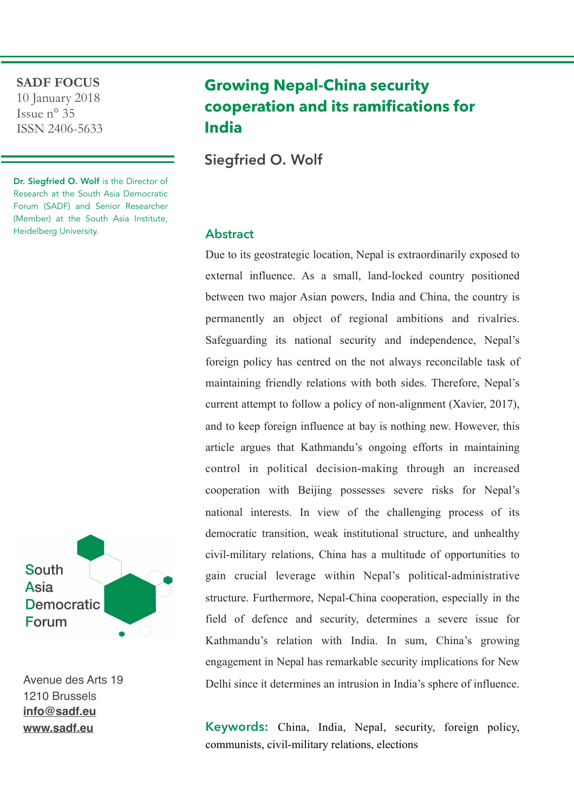#### **SADF FOCUS**

10 January 2018 Issue n° 35 ISSN 2406-5633

Dr. Siegfried O. Wolf is the Director of Research at the South Asia Democratic Forum (SADF) and Senior Researcher (Member) at the South Asia Institute, Heidelberg University.



Avenue des Arts 19 1210 Brussels **[info@sadf.eu](mailto:info@sadf.eu) [www.sadf.eu](http://www.sadf.eu)**

# **Growing Nepal-China security cooperation and its ramifications for India**

Siegfried O. Wolf

### **Abstract**

Due to its geostrategic location, Nepal is extraordinarily exposed to external influence. As a small, land-locked country positioned between two major Asian powers, India and China, the country is permanently an object of regional ambitions and rivalries. Safeguarding its national security and independence, Nepal's foreign policy has centred on the not always reconcilable task of maintaining friendly relations with both sides. Therefore, Nepal's current attempt to follow a policy of non-alignment (Xavier, 2017), and to keep foreign influence at bay is nothing new. However, this article argues that Kathmandu's ongoing efforts in maintaining control in political decision-making through an increased cooperation with Beijing possesses severe risks for Nepal's national interests. In view of the challenging process of its democratic transition, weak institutional structure, and unhealthy civil-military relations, China has a multitude of opportunities to gain crucial leverage within Nepal's political-administrative structure. Furthermore, Nepal-China cooperation, especially in the field of defence and security, determines a severe issue for Kathmandu's relation with India. In sum, China's growing engagement in Nepal has remarkable security implications for New Delhi since it determines an intrusion in India's sphere of influence.

**Keywords:** China, India, Nepal, security, foreign policy, communists, civil-military relations, elections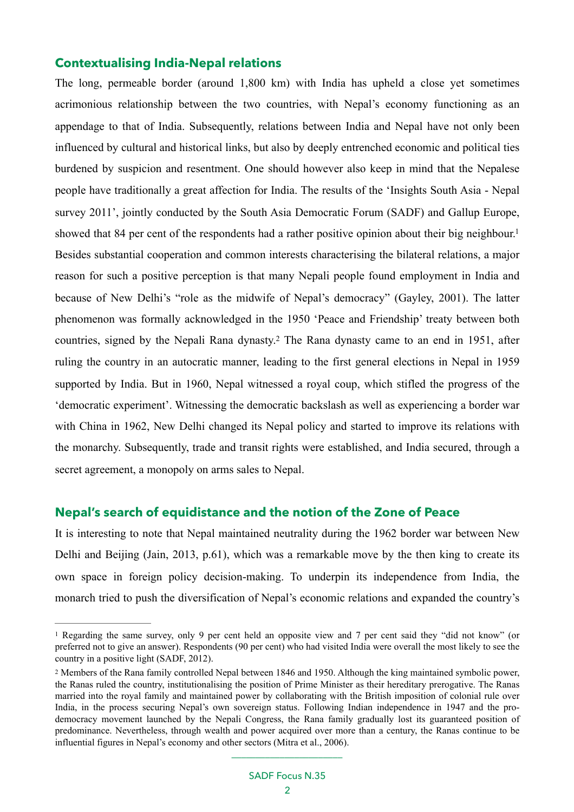### **Contextualising India-Nepal relations**

<span id="page-1-2"></span>The long, permeable border (around 1,800 km) with India has upheld a close yet sometimes acrimonious relationship between the two countries, with Nepal's economy functioning as an appendage to that of India. Subsequently, relations between India and Nepal have not only been influenced by cultural and historical links, but also by deeply entrenched economic and political ties burdened by suspicion and resentment. One should however also keep in mind that the Nepalese people have traditionally a great affection for India. The results of the 'Insights South Asia - Nepal survey 2011', jointly conducted by the South Asia Democratic Forum (SADF) and Gallup Europe, showed that 84 per cent of the respondents had a rather positive opinion about their big neighbour.<sup>1</sup> Besides substantial cooperation and common interests characterising the bilateral relations, a major reason for such a positive perception is that many Nepali people found employment in India and because of New Delhi's "role as the midwife of Nepal's democracy" (Gayley, 2001). The latter phenomenon was formally acknowledged in the 1950 'Peace and Friendship' treaty between both countries, signed by the Nepali Rana dynasty[.](#page-1-1)<sup>[2](#page-1-1)</sup> The Rana dynasty came to an end in 1951, after ruling the country in an autocratic manner, leading to the first general elections in Nepal in 1959 supported by India. But in 1960, Nepal witnessed a royal coup, which stifled the progress of the 'democratic experiment'. Witnessing the democratic backslash as well as experiencing a border war with China in 1962, New Delhi changed its Nepal policy and started to improve its relations with the monarchy. Subsequently, trade and transit rights were established, and India secured, through a secret agreement, a monopoly on arms sales to Nepal.

## <span id="page-1-3"></span>**Nepal's search of equidistance and the notion of the Zone of Peace**

It is interesting to note that Nepal maintained neutrality during the 1962 border war between New Delhi and Beijing (Jain, 2013, p.61), which was a remarkable move by the then king to create its own space in foreign policy decision-making. To underpin its independence from India, the monarch tried to push the diversification of Nepal's economic relations and expanded the country's

<span id="page-1-0"></span><sup>&</sup>lt;sup>[1](#page-1-2)</sup> Regarding the same survey, only 9 per cent held an opposite view and 7 per cent said they "did not know" (or preferred not to give an answer). Respondents (90 per cent) who had visited India were overall the most likely to see the country in a positive light (SADF, 2012).

<span id="page-1-1"></span><sup>&</sup>lt;sup>[2](#page-1-3)</sup> Members of the Rana family controlled Nepal between 1846 and 1950. Although the king maintained symbolic power, the Ranas ruled the country, institutionalising the position of Prime Minister as their hereditary prerogative. The Ranas married into the royal family and maintained power by collaborating with the British imposition of colonial rule over India, in the process securing Nepal's own sovereign status. Following Indian independence in 1947 and the prodemocracy movement launched by the Nepali Congress, the Rana family gradually lost its guaranteed position of predominance. Nevertheless, through wealth and power acquired over more than a century, the Ranas continue to be influential figures in Nepal's economy and other sectors (Mitra et al., 2006).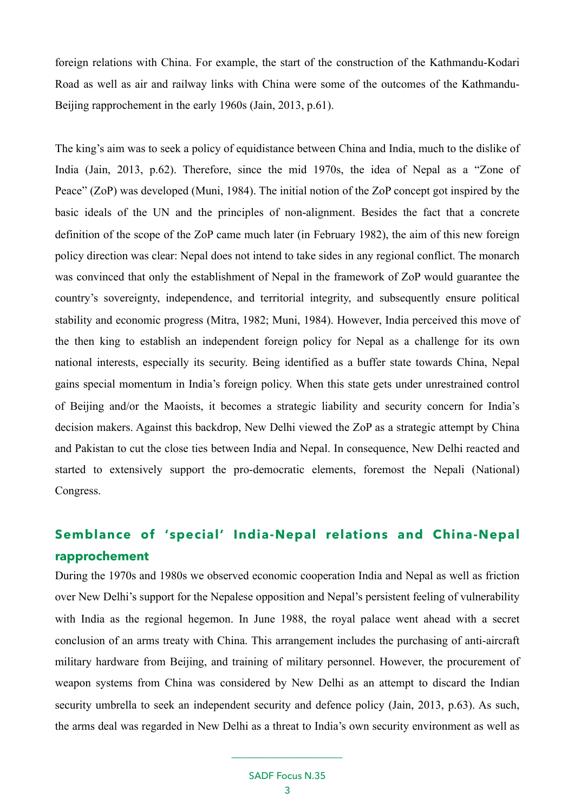foreign relations with China. For example, the start of the construction of the Kathmandu-Kodari Road as well as air and railway links with China were some of the outcomes of the Kathmandu-Beijing rapprochement in the early 1960s (Jain, 2013, p.61).

The king's aim was to seek a policy of equidistance between China and India, much to the dislike of India (Jain, 2013, p.62). Therefore, since the mid 1970s, the idea of Nepal as a "Zone of Peace" (ZoP) was developed (Muni, 1984). The initial notion of the ZoP concept got inspired by the basic ideals of the UN and the principles of non-alignment. Besides the fact that a concrete definition of the scope of the ZoP came much later (in February 1982), the aim of this new foreign policy direction was clear: Nepal does not intend to take sides in any regional conflict. The monarch was convinced that only the establishment of Nepal in the framework of ZoP would guarantee the country's sovereignty, independence, and territorial integrity, and subsequently ensure political stability and economic progress (Mitra, 1982; Muni, 1984). However, India perceived this move of the then king to establish an independent foreign policy for Nepal as a challenge for its own national interests, especially its security. Being identified as a buffer state towards China, Nepal gains special momentum in India's foreign policy. When this state gets under unrestrained control of Beijing and/or the Maoists, it becomes a strategic liability and security concern for India's decision makers. Against this backdrop, New Delhi viewed the ZoP as a strategic attempt by China and Pakistan to cut the close ties between India and Nepal. In consequence, New Delhi reacted and started to extensively support the pro-democratic elements, foremost the Nepali (National) Congress.

## **Semblance of 'special' India-Nepal relations and China-Nepal rapprochement**

During the 1970s and 1980s we observed economic cooperation India and Nepal as well as friction over New Delhi's support for the Nepalese opposition and Nepal's persistent feeling of vulnerability with India as the regional hegemon. In June 1988, the royal palace went ahead with a secret conclusion of an arms treaty with China. This arrangement includes the purchasing of anti-aircraft military hardware from Beijing, and training of military personnel. However, the procurement of weapon systems from China was considered by New Delhi as an attempt to discard the Indian security umbrella to seek an independent security and defence policy (Jain, 2013, p.63). As such, the arms deal was regarded in New Delhi as a threat to India's own security environment as well as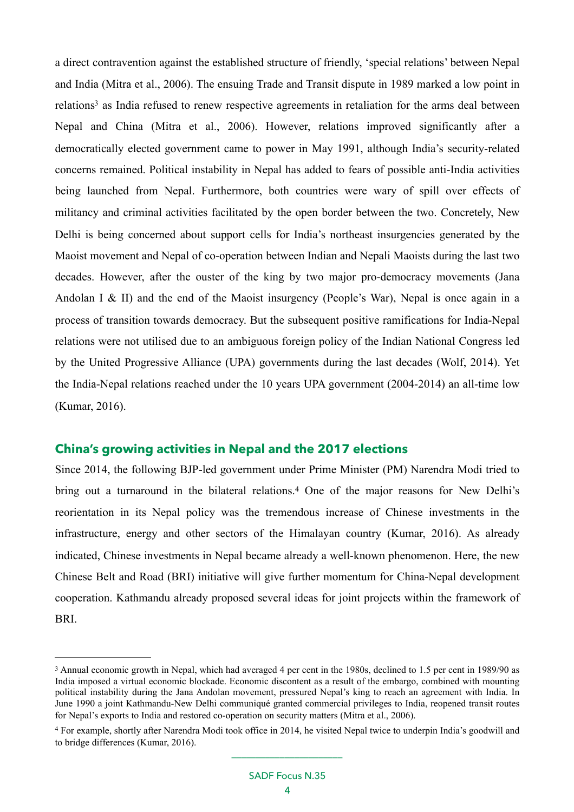<span id="page-3-2"></span>a direct contravention against the established structure of friendly, 'special relations' between Nepal and India (Mitra et al., 2006). The ensuing Trade and Transit dispute in 1989 marked a low point in relation[s](#page-3-0)<sup>[3](#page-3-0)</sup> as India refused to renew respective agreements in retaliation for the arms deal between Nepal and China (Mitra et al., 2006). However, relations improved significantly after a democratically elected government came to power in May 1991, although India's security-related concerns remained. Political instability in Nepal has added to fears of possible anti-India activities being launched from Nepal. Furthermore, both countries were wary of spill over effects of militancy and criminal activities facilitated by the open border between the two. Concretely, New Delhi is being concerned about support cells for India's northeast insurgencies generated by the Maoist movement and Nepal of co-operation between Indian and Nepali Maoists during the last two decades. However, after the ouster of the king by two major pro-democracy movements (Jana Andolan I & II) and the end of the Maoist insurgency (People's War), Nepal is once again in a process of transition towards democracy. But the subsequent positive ramifications for India-Nepal relations were not utilised due to an ambiguous foreign policy of the Indian National Congress led by the United Progressive Alliance (UPA) governments during the last decades (Wolf, 2014). Yet the India-Nepal relations reached under the 10 years UPA government (2004-2014) an all-time low (Kumar, 2016).

## **China's growing activities in Nepal and the 2017 elections**

<span id="page-3-3"></span>Since 2014, the following BJP-led government under Prime Minister (PM) Narendra Modi tried to bringout a turnaround in the bilateral relations.<sup>[4](#page-3-1)</sup> One of the major reasons for New Delhi's reorientation in its Nepal policy was the tremendous increase of Chinese investments in the infrastructure, energy and other sectors of the Himalayan country (Kumar, 2016). As already indicated, Chinese investments in Nepal became already a well-known phenomenon. Here, the new Chinese Belt and Road (BRI) initiative will give further momentum for China-Nepal development cooperation. Kathmandu already proposed several ideas for joint projects within the framework of BRI.

<span id="page-3-0"></span><sup>&</sup>lt;sup>[3](#page-3-2)</sup> Annual economic growth in Nepal, which had averaged 4 per cent in the 1980s, declined to 1.5 per cent in 1989/90 as India imposed a virtual economic blockade. Economic discontent as a result of the embargo, combined with mounting political instability during the Jana Andolan movement, pressured Nepal's king to reach an agreement with India. In June 1990 a joint Kathmandu-New Delhi communiqué granted commercial privileges to India, reopened transit routes for Nepal's exports to India and restored co-operation on security matters (Mitra et al., 2006).

<span id="page-3-1"></span>For example, shortly after Narendra Modi took office in 2014, he visited Nepal twice to underpin India's goodwill and [4](#page-3-3) to bridge differences (Kumar, 2016). \_\_\_\_\_\_\_\_\_\_\_\_\_\_\_\_\_\_\_\_\_\_\_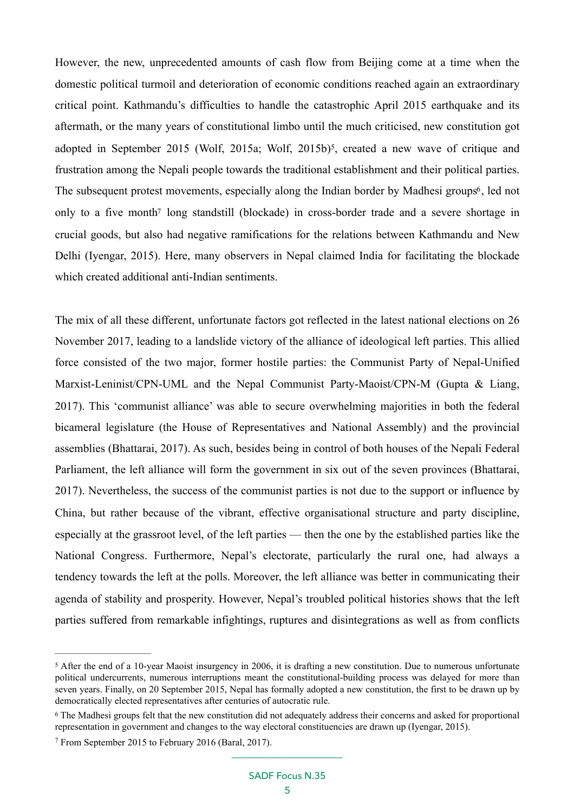<span id="page-4-4"></span><span id="page-4-3"></span>However, the new, unprecedented amounts of cash flow from Beijing come at a time when the domestic political turmoil and deterioration of economic conditions reached again an extraordinary critical point. Kathmandu's difficulties to handle the catastrophic April 2015 earthquake and its aftermath, or the many years of constitutional limbo until the much criticised, new constitution got adopted in September 2015 (Wolf[,](#page-4-0) 201[5](#page-4-0)a; Wolf, 2015b)<sup>5</sup>, created a new wave of critique and frustration among the Nepali people towards the traditional establishment and their political parties. The subsequent protest movements, especially along the Indian border by Madhesi groups<sup>[6](#page-4-1)</sup>, led not only to a five mont[h7](#page-4-2) long standstill (blockade) in cross-border trade and a severe shortage in crucial goods, but also had negative ramifications for the relations between Kathmandu and New Delhi (Iyengar, 2015). Here, many observers in Nepal claimed India for facilitating the blockade which created additional anti-Indian sentiments.

<span id="page-4-5"></span>The mix of all these different, unfortunate factors got reflected in the latest national elections on 26 November 2017, leading to a landslide victory of the alliance of ideological left parties. This allied force consisted of the two major, former hostile parties: the Communist Party of Nepal-Unified Marxist-Leninist/CPN-UML and the Nepal Communist Party-Maoist/CPN-M (Gupta & Liang, 2017). This 'communist alliance' was able to secure overwhelming majorities in both the federal bicameral legislature (the House of Representatives and National Assembly) and the provincial assemblies (Bhattarai, 2017). As such, besides being in control of both houses of the Nepali Federal Parliament, the left alliance will form the government in six out of the seven provinces (Bhattarai, 2017). Nevertheless, the success of the communist parties is not due to the support or influence by China, but rather because of the vibrant, effective organisational structure and party discipline, especially at the grassroot level, of the left parties — then the one by the established parties like the National Congress. Furthermore, Nepal's electorate, particularly the rural one, had always a tendency towards the left at the polls. Moreover, the left alliance was better in communicating their agenda of stability and prosperity. However, Nepal's troubled political histories shows that the left parties suffered from remarkable infightings, ruptures and disintegrations as well as from conflicts

<span id="page-4-0"></span>After the end of a 10-year Maoist insurgency in 2006, it is drafting a new constitution. Due to numerous unfortunate [5](#page-4-3) political undercurrents, numerous interruptions meant the constitutional-building process was delayed for more than seven years. Finally, on 20 September 2015, Nepal has formally adopted a new constitution, the first to be drawn up by democratically elected representatives after centuries of autocratic rule.

<span id="page-4-1"></span>The Madhesi groups felt that the new constitution did not adequately address their concerns and asked for proportional [6](#page-4-4) representation in government and changes to the way electoral constituencies are drawn up (Iyengar, 2015).

<span id="page-4-2"></span>From September 2015 to February 2016 (Baral, 2017). [7](#page-4-5)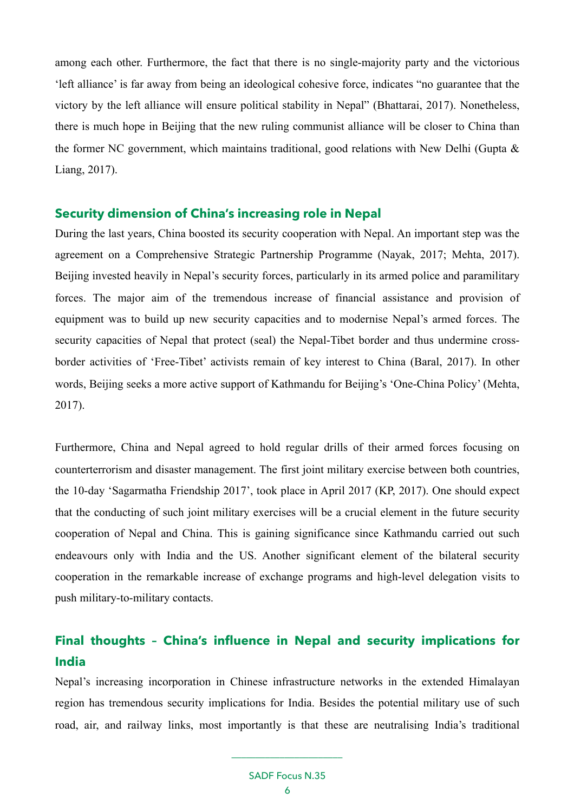among each other. Furthermore, the fact that there is no single-majority party and the victorious 'left alliance' is far away from being an ideological cohesive force, indicates "no guarantee that the victory by the left alliance will ensure political stability in Nepal" (Bhattarai, 2017). Nonetheless, there is much hope in Beijing that the new ruling communist alliance will be closer to China than the former NC government, which maintains traditional, good relations with New Delhi (Gupta  $\&$ Liang, 2017).

### **Security dimension of China's increasing role in Nepal**

During the last years, China boosted its security cooperation with Nepal. An important step was the agreement on a Comprehensive Strategic Partnership Programme (Nayak, 2017; Mehta, 2017). Beijing invested heavily in Nepal's security forces, particularly in its armed police and paramilitary forces. The major aim of the tremendous increase of financial assistance and provision of equipment was to build up new security capacities and to modernise Nepal's armed forces. The security capacities of Nepal that protect (seal) the Nepal-Tibet border and thus undermine crossborder activities of 'Free-Tibet' activists remain of key interest to China (Baral, 2017). In other words, Beijing seeks a more active support of Kathmandu for Beijing's 'One-China Policy' (Mehta, 2017).

Furthermore, China and Nepal agreed to hold regular drills of their armed forces focusing on counterterrorism and disaster management. The first joint military exercise between both countries, the 10-day 'Sagarmatha Friendship 2017', took place in April 2017 (KP, 2017). One should expect that the conducting of such joint military exercises will be a crucial element in the future security cooperation of Nepal and China. This is gaining significance since Kathmandu carried out such endeavours only with India and the US. Another significant element of the bilateral security cooperation in the remarkable increase of exchange programs and high-level delegation visits to push military-to-military contacts.

## **Final thoughts – China's influence in Nepal and security implications for India**

Nepal's increasing incorporation in Chinese infrastructure networks in the extended Himalayan region has tremendous security implications for India. Besides the potential military use of such road, air, and railway links, most importantly is that these are neutralising India's traditional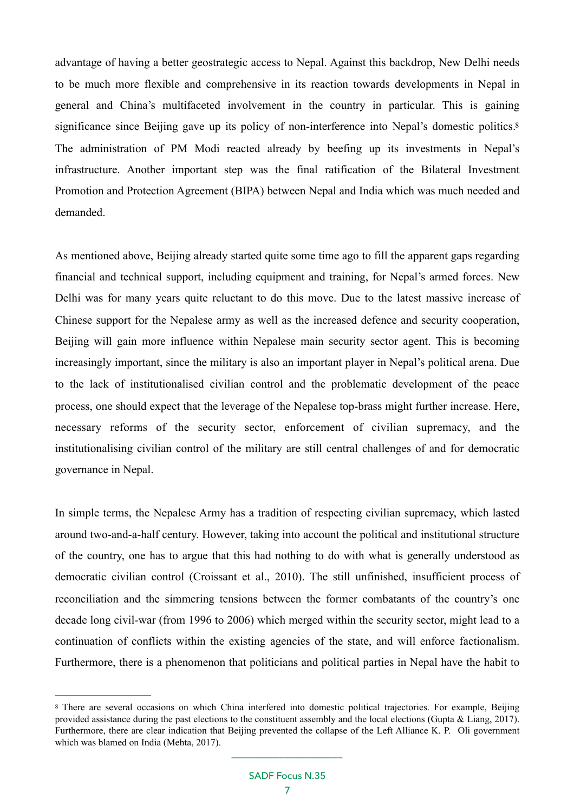<span id="page-6-1"></span>advantage of having a better geostrategic access to Nepal. Against this backdrop, New Delhi needs to be much more flexible and comprehensive in its reaction towards developments in Nepal in general and China's multifaceted involvement in the country in particular. This is gaining significance since Beijing gave up its policy of non-interference into Nepal's domestic politics.<sup>8</sup> The administration of PM Modi reacted already by beefing up its investments in Nepal's infrastructure. Another important step was the final ratification of the Bilateral Investment Promotion and Protection Agreement (BIPA) between Nepal and India which was much needed and demanded.

As mentioned above, Beijing already started quite some time ago to fill the apparent gaps regarding financial and technical support, including equipment and training, for Nepal's armed forces. New Delhi was for many years quite reluctant to do this move. Due to the latest massive increase of Chinese support for the Nepalese army as well as the increased defence and security cooperation, Beijing will gain more influence within Nepalese main security sector agent. This is becoming increasingly important, since the military is also an important player in Nepal's political arena. Due to the lack of institutionalised civilian control and the problematic development of the peace process, one should expect that the leverage of the Nepalese top-brass might further increase. Here, necessary reforms of the security sector, enforcement of civilian supremacy, and the institutionalising civilian control of the military are still central challenges of and for democratic governance in Nepal.

In simple terms, the Nepalese Army has a tradition of respecting civilian supremacy, which lasted around two-and-a-half century. However, taking into account the political and institutional structure of the country, one has to argue that this had nothing to do with what is generally understood as democratic civilian control (Croissant et al., 2010). The still unfinished, insufficient process of reconciliation and the simmering tensions between the former combatants of the country's one decade long civil-war (from 1996 to 2006) which merged within the security sector, might lead to a continuation of conflicts within the existing agencies of the state, and will enforce factionalism. Furthermore, there is a phenomenon that politicians and political parties in Nepal have the habit to

<span id="page-6-0"></span>There are several occasions on which China interfered into domestic political trajectories. For example, Beijing [8](#page-6-1) provided assistance during the past elections to the constituent assembly and the local elections (Gupta & Liang, 2017). Furthermore, there are clear indication that Beijing prevented the collapse of the Left Alliance K. P. Oli government which was blamed on India (Mehta, 2017).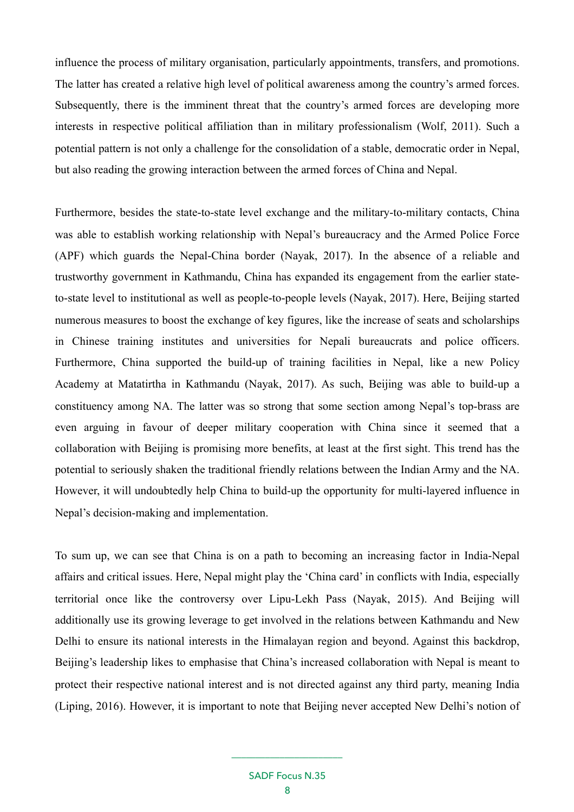influence the process of military organisation, particularly appointments, transfers, and promotions. The latter has created a relative high level of political awareness among the country's armed forces. Subsequently, there is the imminent threat that the country's armed forces are developing more interests in respective political affiliation than in military professionalism (Wolf, 2011). Such a potential pattern is not only a challenge for the consolidation of a stable, democratic order in Nepal, but also reading the growing interaction between the armed forces of China and Nepal.

Furthermore, besides the state-to-state level exchange and the military-to-military contacts, China was able to establish working relationship with Nepal's bureaucracy and the Armed Police Force (APF) which guards the Nepal-China border (Nayak, 2017). In the absence of a reliable and trustworthy government in Kathmandu, China has expanded its engagement from the earlier stateto-state level to institutional as well as people-to-people levels (Nayak, 2017). Here, Beijing started numerous measures to boost the exchange of key figures, like the increase of seats and scholarships in Chinese training institutes and universities for Nepali bureaucrats and police officers. Furthermore, China supported the build-up of training facilities in Nepal, like a new Policy Academy at Matatirtha in Kathmandu (Nayak, 2017). As such, Beijing was able to build-up a constituency among NA. The latter was so strong that some section among Nepal's top-brass are even arguing in favour of deeper military cooperation with China since it seemed that a collaboration with Beijing is promising more benefits, at least at the first sight. This trend has the potential to seriously shaken the traditional friendly relations between the Indian Army and the NA. However, it will undoubtedly help China to build-up the opportunity for multi-layered influence in Nepal's decision-making and implementation.

To sum up, we can see that China is on a path to becoming an increasing factor in India-Nepal affairs and critical issues. Here, Nepal might play the 'China card' in conflicts with India, especially territorial once like the controversy over Lipu-Lekh Pass (Nayak, 2015). And Beijing will additionally use its growing leverage to get involved in the relations between Kathmandu and New Delhi to ensure its national interests in the Himalayan region and beyond. Against this backdrop, Beijing's leadership likes to emphasise that China's increased collaboration with Nepal is meant to protect their respective national interest and is not directed against any third party, meaning India (Liping, 2016). However, it is important to note that Beijing never accepted New Delhi's notion of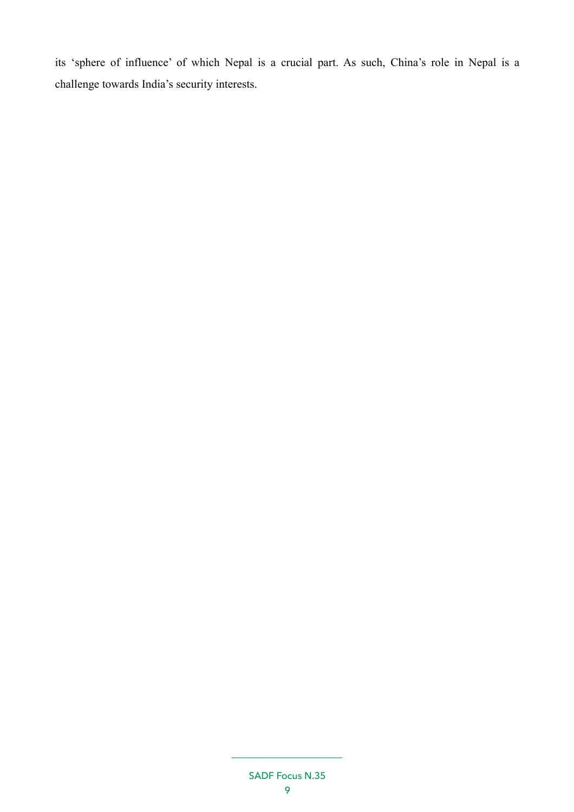its 'sphere of influence' of which Nepal is a crucial part. As such, China's role in Nepal is a challenge towards India's security interests.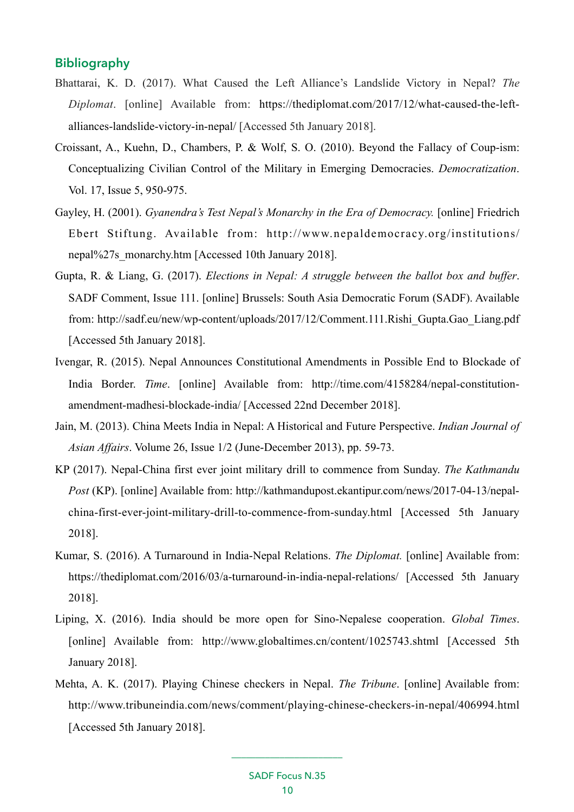## **Bibliography**

- Bhattarai, K. D. (2017). What Caused the Left Alliance's Landslide Victory in Nepal? *The Diplomat*. [online] Available from: [https://thediplomat.com/2017/12/what-caused-the-left](https://thediplomat.com/2017/12/what-caused-the-left-alliances-landslide-victory-in-nepal/)[alliances-landslide-victory-in-nepal/](https://thediplomat.com/2017/12/what-caused-the-left-alliances-landslide-victory-in-nepal/) [Accessed 5th January 2018].
- Croissant, A., Kuehn, D., Chambers, P. & Wolf, S. O. (2010). Beyond the Fallacy of Coup-ism: Conceptualizing Civilian Control of the Military in Emerging Democracies. *Democratization*. Vol. 17, Issue 5, 950-975.
- Gayley, H. (2001). *Gyanendra's Test Nepal's Monarchy in the Era of Democracy.* [online] Friedrich Ebert Stiftung. Available from: [http://www.nepaldemocracy.org/institutions/](http://www.nepaldemocracy.org/institutions/nepal%2527s_monarchy.htm) [nepal%27s\\_monarchy.htm](http://www.nepaldemocracy.org/institutions/nepal%2527s_monarchy.htm) [Accessed 10th January 2018].
- Gupta, R. & Liang, G. (2017). *Elections in Nepal: A struggle between the ballot box and buffer*. SADF Comment, Issue 111. [online] Brussels: South Asia Democratic Forum (SADF). Available from: [http://sadf.eu/new/wp-content/uploads/2017/12/Comment.111.Rishi\\_Gupta.Gao\\_Liang.pdf](http://sadf.eu/new/wp-content/uploads/2017/12/Comment.111.Rishi_Gupta.Gao_Liang.pdf) [Accessed 5th January 2018].
- Ivengar, R. (2015). Nepal Announces Constitutional Amendments in Possible End to Blockade of India Border. *Time*. [online] Available from: [http://time.com/4158284/nepal-constitution](http://time.com/4158284/nepal-constitution-amendment-madhesi-blockade-india/)[amendment-madhesi-blockade-india/](http://time.com/4158284/nepal-constitution-amendment-madhesi-blockade-india/) [Accessed 22nd December 2018].
- Jain, M. (2013). China Meets India in Nepal: A Historical and Future Perspective. *Indian Journal of Asian Affairs*. Volume 26, Issue 1/2 (June-December 2013), pp. 59-73.
- KP (2017). Nepal-China first ever joint military drill to commence from Sunday. *The Kathmandu Post* (KP). [online] Available from: [http://kathmandupost.ekantipur.com/news/2017-04-13/nepal](http://kathmandupost.ekantipur.com/news/2017-04-13/nepal-china-first-ever-joint-military-drill-to-commence-from-sunday.html)[china-first-ever-joint-military-drill-to-commence-from-sunday.html \[Accessed 5th January](http://kathmandupost.ekantipur.com/news/2017-04-13/nepal-china-first-ever-joint-military-drill-to-commence-from-sunday.html) 2018].
- Kumar, S. (2016). A Turnaround in India-Nepal Relations. *The Diplomat.* [online] Available from: <https://thediplomat.com/2016/03/a-turnaround-in-india-nepal-relations/> [Accessed 5th January 2018].
- Liping, X. (2016). India should be more open for Sino-Nepalese cooperation. *Global Times*. [online] Available from: <http://www.globaltimes.cn/content/1025743.shtml>[Accessed 5th January 2018].
- Mehta, A. K. (2017). Playing Chinese checkers in Nepal. *The Tribune*. [online] Available from: <http://www.tribuneindia.com/news/comment/playing-chinese-checkers-in-nepal/406994.html> [Accessed 5th January 2018].